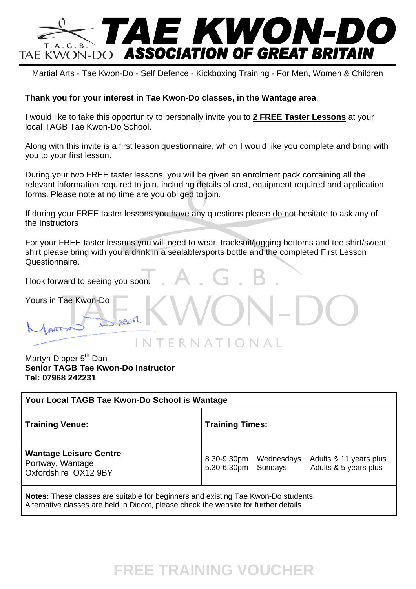

Martial Arts - Tae Kwon-Do - Self Defence - Kickboxing Training - For Men, Women & Children

#### **Thank you for your interest in Tae Kwon-Do classes, in the Wantage area**.

I would like to take this opportunity to personally invite you to **2 FREE Taster Lessons** at your local TAGB Tae Kwon-Do School.

Along with this invite is a first lesson questionnaire, which I would like you complete and bring with you to your first lesson.

During your two FREE taster lessons, you will be given an enrolment pack containing all the relevant information required to join, including details of cost, equipment required and application forms. Please note at no time are you obliged to join.

If during your FREE taster lessons you have any questions please do not hesitate to ask any of the Instructors

For your FREE taster lessons you will need to wear, tracksuit/jogging bottoms and tee shirt/sweat shirt please bring with you a drink in a sealable/sports bottle and the completed First Lesson Questionnaire.

I look forward to seeing you soon.

Yours in Tae Kwon-Do

Martyn Dipper 5<sup>th</sup> Dan **Senior TAGB Tae Kwon-Do Instructor Tel: 07968 242231** 

| Your Local TAGB Tae Kwon-Do School is Wantage                                     |                                                                                                        |  |
|-----------------------------------------------------------------------------------|--------------------------------------------------------------------------------------------------------|--|
| <b>Training Venue:</b>                                                            | <b>Training Times:</b>                                                                                 |  |
| <b>Wantage Leisure Centre</b><br>Portway, Wantage<br>Oxfordshire OX12 9BY         | 8.30-9.30pm<br>Wednesdays<br>Adults & 11 years plus<br>Adults & 5 years plus<br>Sundays<br>5.30-6.30pm |  |
| Nator: These elecces are quitable for beginners and evicting Tee Kwan De students |                                                                                                        |  |

**Notes:** These classes are suitable for beginners and existing Tae Kwon-Do students. Alternative classes are held in Didcot, please check the website for further details

## **FREE TRAINING VOUCHER**